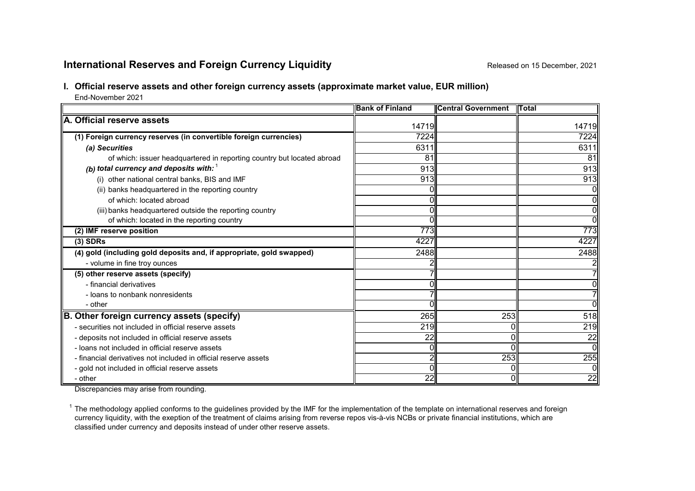# **International Reserves and Foreign Currency Liquidity Released on 15 December, 2021**

# **I. Official reserve assets and other foreign currency assets (approximate market value, EUR million)**

End-November 2021

|                                                                        | <b>Bank of Finland</b> | <b>Central Government</b> | <b>ITotal</b> |
|------------------------------------------------------------------------|------------------------|---------------------------|---------------|
| A. Official reserve assets                                             | 14719                  |                           | 14719         |
| (1) Foreign currency reserves (in convertible foreign currencies)      | 7224                   |                           | 7224          |
| (a) Securities                                                         | 6311                   |                           | 6311          |
| of which: issuer headquartered in reporting country but located abroad | 81                     |                           | 81            |
| (b) total currency and deposits with: $1$                              | 913                    |                           | 913           |
| (i) other national central banks, BIS and IMF                          | 913                    |                           | 913           |
| (ii) banks headquartered in the reporting country                      |                        |                           | Οl            |
| of which: located abroad                                               |                        |                           | ΟI            |
| (iii) banks headquartered outside the reporting country                |                        |                           | Οl            |
| of which: located in the reporting country                             |                        |                           | ᇭ             |
| (2) IMF reserve position                                               | 773                    |                           | 773           |
| $(3)$ SDRs                                                             | 4227                   |                           | 4227          |
| (4) gold (including gold deposits and, if appropriate, gold swapped)   | 2488                   |                           | 2488          |
| - volume in fine troy ounces                                           |                        |                           |               |
| (5) other reserve assets (specify)                                     |                        |                           |               |
| - financial derivatives                                                |                        |                           | Ol            |
| - loans to nonbank nonresidents                                        |                        |                           | 71            |
| - other                                                                |                        |                           | ΩI            |
| B. Other foreign currency assets (specify)                             | 265                    | 253                       | 518           |
| - securities not included in official reserve assets                   | 219                    |                           | 219           |
| - deposits not included in official reserve assets                     | 22                     |                           | 22            |
| - loans not included in official reserve assets                        |                        |                           | Οl            |
| - financial derivatives not included in official reserve assets        |                        | 253                       | 255           |
| - gold not included in official reserve assets                         |                        |                           | Οl            |
| - other                                                                | 22                     |                           | 22            |

Discrepancies may arise from rounding.

 $1$  The methodology applied conforms to the guidelines provided by the IMF for the implementation of the template on international reserves and foreign currency liquidity, with the exeption of the treatment of claims arising from reverse repos vis-à-vis NCBs or private financial institutions, which are classified under currency and deposits instead of under other reserve assets.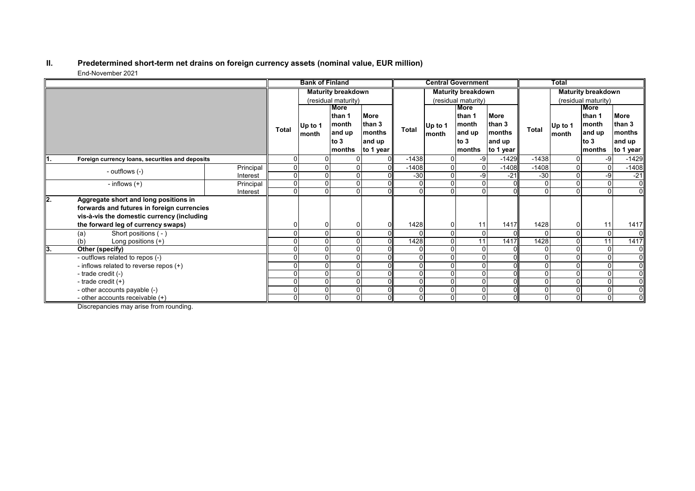#### **II. Predetermined short-term net drains on foreign currency assets (nominal value, EUR million)** End-November 2021

|     |                                                                                                                                                                         |           | <b>Bank of Finland</b>    |                  |                                                     | <b>Central Government</b>                              |                           |                  | Total                                                        |                                                        |              |                  |                                                              |                                                                    |
|-----|-------------------------------------------------------------------------------------------------------------------------------------------------------------------------|-----------|---------------------------|------------------|-----------------------------------------------------|--------------------------------------------------------|---------------------------|------------------|--------------------------------------------------------------|--------------------------------------------------------|--------------|------------------|--------------------------------------------------------------|--------------------------------------------------------------------|
|     |                                                                                                                                                                         |           | <b>Maturity breakdown</b> |                  |                                                     |                                                        | <b>Maturity breakdown</b> |                  |                                                              | <b>Maturity breakdown</b>                              |              |                  |                                                              |                                                                    |
|     |                                                                                                                                                                         |           | (residual maturity)       |                  |                                                     | (residual maturity)                                    |                           |                  |                                                              | (residual maturity)                                    |              |                  |                                                              |                                                                    |
|     |                                                                                                                                                                         |           | <b>Total</b>              | Up to 1<br>month | More<br>than 1<br>month<br>and up<br>to 3<br>months | <b>More</b><br>than 3<br>months<br>and up<br>to 1 year | Total                     | Up to 1<br>month | <b>More</b><br>than 1<br>month<br>and up<br>to $3$<br>months | <b>More</b><br>than 3<br>months<br>and up<br>to 1 year | Total        | Up to 1<br>month | <b>More</b><br>than 1<br>month<br>and up<br>to $3$<br>months | <b>More</b><br>than 3<br>months<br>and up<br>to 1 year $\parallel$ |
| Ι1. | Foreign currency loans, securities and deposits                                                                                                                         |           |                           |                  |                                                     |                                                        | $-1438$                   |                  | -9                                                           | $-1429$                                                | $-1438$      | $\mathbf{0}$     | -9                                                           | $-1429$                                                            |
|     | - outflows (-)                                                                                                                                                          | Principal |                           |                  |                                                     |                                                        | $-1408$                   |                  |                                                              | $-1408$                                                | $-1408$      | 0                |                                                              | $-1408$                                                            |
|     |                                                                                                                                                                         | Interest  | 0                         |                  |                                                     |                                                        | $-30$                     |                  | -9                                                           | $-21$                                                  | $-30$        | $\mathbf 0$      | -9                                                           | $-21$                                                              |
|     | - inflows $(+)$                                                                                                                                                         | Principal | $\Omega$                  |                  | $\Omega$                                            |                                                        |                           |                  | $\Omega$                                                     | $\Omega$                                               | $\Omega$     | $\Omega$         | $\Omega$                                                     | $\overline{0}$                                                     |
|     |                                                                                                                                                                         | Interest  | 0                         |                  |                                                     |                                                        |                           |                  |                                                              | $\Omega$                                               | $\Omega$     | $\Omega$         |                                                              | $\overline{0}$                                                     |
| l2. | Aggregate short and long positions in<br>forwards and futures in foreign currencies<br>vis-à-vis the domestic currency (including<br>the forward leg of currency swaps) |           |                           |                  |                                                     |                                                        | 1428                      |                  | 11                                                           | 1417                                                   | 1428         | 0                | 11                                                           | 1417                                                               |
|     | Short positions (-)                                                                                                                                                     |           |                           |                  |                                                     |                                                        |                           |                  | $\Omega$                                                     | $\Omega$                                               | $\Omega$     | $\Omega$         | 0                                                            | $\overline{0}$                                                     |
|     | (a)<br>Long positions (+)<br>(b)                                                                                                                                        |           |                           |                  |                                                     |                                                        | 1428                      |                  | 11                                                           | 1417                                                   | 1428         | $\Omega$         | 11                                                           | 1417                                                               |
| lЗ. | Other (specify)                                                                                                                                                         |           |                           |                  |                                                     |                                                        |                           |                  | $\Omega$                                                     |                                                        | $\mathbf{0}$ | $\Omega$         |                                                              | $\overline{0}$                                                     |
|     | - outflows related to repos (-)                                                                                                                                         |           |                           |                  | O                                                   |                                                        |                           |                  | $\Omega$                                                     | $\Omega$                                               | $\mathbf{0}$ | $\mathbf{0}$     |                                                              | $\overline{0}$                                                     |
|     | - inflows related to reverse repos (+)                                                                                                                                  |           |                           |                  |                                                     |                                                        |                           |                  |                                                              |                                                        | $\Omega$     | $\Omega$         | $\Omega$                                                     | 0l                                                                 |
|     | - trade credit (-)                                                                                                                                                      |           |                           |                  |                                                     |                                                        |                           |                  | $\Omega$                                                     |                                                        | $\Omega$     | 0                |                                                              | $\overline{0}$                                                     |
|     | - trade credit $(+)$                                                                                                                                                    |           |                           |                  | $\Omega$                                            |                                                        |                           |                  | $\Omega$                                                     | $\Omega$                                               | $\Omega$     | $\mathbf 0$      | 0                                                            | $\overline{0}$                                                     |
|     | - other accounts payable (-)                                                                                                                                            |           |                           |                  |                                                     |                                                        |                           |                  | $\Omega$                                                     | $\Omega$                                               | $\mathbf{0}$ | $\Omega$         | $\Omega$                                                     | $\overline{0}$                                                     |
|     | - other accounts receivable $(+)$                                                                                                                                       |           | $\Omega$                  |                  | 0                                                   |                                                        |                           |                  | $\Omega$                                                     | $\Omega$                                               | 0            | $\overline{0}$   | $\overline{0}$                                               | $\overline{0}$                                                     |

Discrepancies may arise from rounding.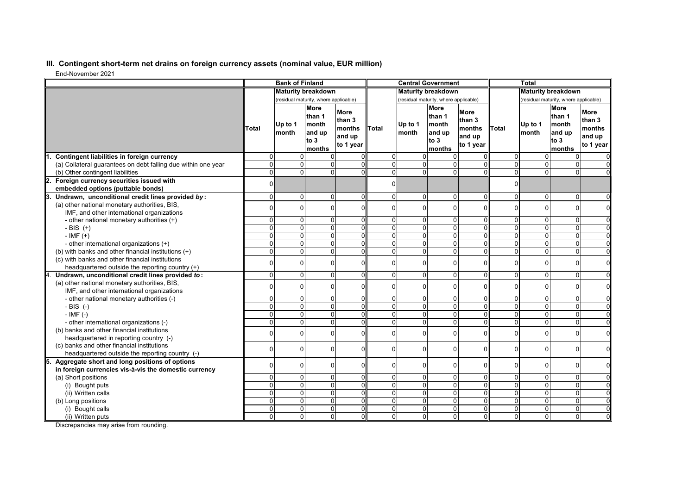## **III. Contingent short-term net drains on foreign currency assets (nominal value, EUR million)**

End-November 2021

|                                                                                      | <b>Bank of Finland</b>    |                                       |                                                     | <b>Central Government</b>                              |                                        |                                       |                                                            | <b>Total</b>                                           |                                  |                      |                                                            |                                                        |
|--------------------------------------------------------------------------------------|---------------------------|---------------------------------------|-----------------------------------------------------|--------------------------------------------------------|----------------------------------------|---------------------------------------|------------------------------------------------------------|--------------------------------------------------------|----------------------------------|----------------------|------------------------------------------------------------|--------------------------------------------------------|
|                                                                                      | <b>Maturity breakdown</b> |                                       |                                                     | <b>Maturity breakdown</b>                              |                                        |                                       | <b>Maturity breakdown</b>                                  |                                                        |                                  |                      |                                                            |                                                        |
|                                                                                      |                           | (residual maturity, where applicable) |                                                     |                                                        |                                        | (residual maturity, where applicable) |                                                            |                                                        |                                  |                      | (residual maturity, where applicable)                      |                                                        |
|                                                                                      | Total                     | Up to 1<br>month                      | More<br>than 1<br>month<br>and up<br>to 3<br>months | <b>More</b><br>than 3<br>months<br>and up<br>to 1 year | Total                                  | Up to 1<br>month                      | <b>More</b><br>than 1<br>month<br>and up<br>to 3<br>months | <b>More</b><br>than 3<br>months<br>and up<br>to 1 year | <b>Total</b>                     | Up to 1<br>month     | <b>More</b><br>than 1<br>month<br>and up<br>to 3<br>months | <b>More</b><br>than 3<br>months<br>and up<br>to 1 year |
| Contingent liabilities in foreign currency                                           | 0                         | 0                                     | 0                                                   |                                                        | $\overline{0}$                         | $\mathbf 0$                           | $\overline{0}$                                             | $\Omega$                                               | $\Omega$                         | $\Omega$             | $\overline{0}$                                             | $\mathbf 0$                                            |
| (a) Collateral quarantees on debt falling due within one year                        | $\overline{0}$            | $\mathbf 0$                           | 0                                                   | $\Omega$                                               | $\overline{0}$                         | ō                                     | $\Omega$                                                   | $\Omega$                                               | $\Omega$                         | $\Omega$             | $\Omega$                                                   | $\mathbf 0$                                            |
| (b) Other contingent liabilities                                                     | $\overline{0}$            | $\Omega$                              | $\Omega$                                            | $\Omega$                                               | $\overline{0}$                         | $\Omega$                              | $\Omega$                                                   |                                                        | $\overline{0}$                   | $\Omega$             | $\Omega$                                                   | $\mathbf 0$                                            |
| Foreign currency securities issued with<br>2.                                        | οI                        |                                       |                                                     |                                                        | $\overline{0}$                         |                                       |                                                            |                                                        | 0                                |                      |                                                            |                                                        |
| embedded options (puttable bonds)                                                    |                           |                                       |                                                     |                                                        |                                        |                                       |                                                            |                                                        |                                  |                      |                                                            |                                                        |
| Undrawn, unconditional credit lines provided by:<br>3.                               | $\Omega$                  | $\Omega$                              | $\Omega$                                            | $\Omega$                                               | $\Omega$                               | $\mathbf 0$                           | $\Omega$                                                   | $\Omega$                                               | $\Omega$                         | $\Omega$             | $\Omega$                                                   | $\mathbf 0$                                            |
| (a) other national monetary authorities, BIS,                                        | 0                         | $\Omega$                              | 0                                                   | $\Omega$                                               | $\mathbf 0$                            | $\Omega$                              | $\Omega$                                                   | C                                                      | $\Omega$                         | $\Omega$             | $\Omega$                                                   | $\mathbf 0$                                            |
| IMF, and other international organizations                                           |                           |                                       |                                                     |                                                        |                                        |                                       |                                                            |                                                        |                                  |                      |                                                            |                                                        |
| - other national monetary authorities (+)                                            | 0                         | 0                                     | 0                                                   | $\overline{0}$                                         | $\overline{0}$                         | $\mathbf 0$                           | $\overline{0}$                                             | 0                                                      | $\overline{0}$                   | $\mathbf 0$          | $\mathbf 0$                                                | $\mathbf 0$                                            |
| - BIS $(+)$                                                                          | $\overline{0}$            | $\overline{0}$                        | $\overline{\mathsf{o}}$                             | $\overline{0}$                                         | $\overline{0}$                         | $\overline{0}$                        | $\overline{0}$                                             | $\Omega$                                               | $\overline{0}$                   | $\overline{0}$       | $\overline{0}$                                             | $\mathbf 0$                                            |
| $-IMF (+)$                                                                           | 0                         | 0                                     | 0                                                   | $\overline{0}$                                         | $\overline{0}$                         | $\mathbf 0$                           | $\mathbf{0}$                                               | $\Omega$                                               | $\overline{0}$                   | $\mathbf{0}$         | $\overline{0}$                                             | $\mathbf 0$                                            |
| - other international organizations (+)                                              | 0                         | 0                                     | 0                                                   | $\mathbf 0$                                            | $\overline{0}$                         | ō                                     | $\overline{0}$                                             | $\Omega$                                               | $\overline{0}$                   | $\overline{0}$       | $\overline{0}$                                             | $\mathbf 0$                                            |
| (b) with banks and other financial institutions (+)                                  | 0                         | 0                                     | $\mathbf 0$                                         | $\Omega$                                               | $\Omega$                               | $\Omega$                              | $\Omega$                                                   | $\Omega$                                               | $\Omega$                         | $\Omega$             | $\Omega$                                                   | $\mathbf 0$                                            |
| (c) with banks and other financial institutions                                      | 0                         | 0                                     | 0                                                   | $\Omega$                                               | 0                                      | $\mathbf 0$                           | $\Omega$                                                   | C                                                      | 0                                | 0                    | $\Omega$                                                   | $\mathbf 0$                                            |
| headquartered outside the reporting country (+)                                      |                           |                                       |                                                     |                                                        |                                        |                                       |                                                            |                                                        |                                  |                      |                                                            |                                                        |
| Undrawn, unconditional credit lines provided to:                                     | 0                         | 0                                     | 0                                                   | $\overline{0}$                                         | $\overline{0}$                         | $\mathbf 0$                           | $\overline{0}$                                             | $\mathbf 0$                                            | $\overline{0}$                   | $\mathbf{0}$         | $\mathbf{0}$                                               | $\pmb{0}$                                              |
| (a) other national monetary authorities, BIS,                                        | 0                         | $\Omega$                              | 0                                                   | $\Omega$                                               | $\mathbf 0$                            | $\Omega$                              | $\mathbf{0}$                                               |                                                        | 0                                | $\Omega$             | $\Omega$                                                   | $\mathbf 0$                                            |
| IMF, and other international organizations                                           |                           |                                       |                                                     |                                                        |                                        |                                       |                                                            |                                                        |                                  |                      |                                                            |                                                        |
| - other national monetary authorities (-)                                            | 0<br>$\overline{0}$       | $\mathbf 0$                           | 0                                                   | $\mathbf 0$                                            | $\overline{0}$<br>$\overline{0}$       | $\mathbf 0$                           | $\mathbf 0$                                                | $\Omega$<br>$\Omega$                                   | $\overline{0}$<br>$\overline{0}$ | $\Omega$             | $\mathbf{0}$<br>$\overline{0}$                             | $\mathbf 0$                                            |
| $-BIS$ (-)                                                                           |                           | 0                                     | 0                                                   | $\mathbf{0}$                                           |                                        | $\Omega$                              | $\Omega$                                                   |                                                        |                                  | $\Omega$             |                                                            | $\Omega$                                               |
| $-IMF(-)$                                                                            | $\Omega$<br>0             | 0                                     | 0                                                   | $\Omega$<br>$\mathbf{0}$                               | $\mathbf 0$<br>$\overline{\mathsf{o}}$ | $\mathbf 0$                           | $\Omega$                                                   | $\Omega$<br>$\Omega$                                   | $\Omega$<br>$\Omega$             | $\Omega$<br>$\Omega$ | $\Omega$<br>$\overline{0}$                                 | $\mathbf 0$                                            |
| - other international organizations (-)                                              |                           | 0                                     | 0                                                   |                                                        |                                        | $\mathbf 0$                           | $\mathbf 0$                                                |                                                        |                                  |                      |                                                            | $\pmb{0}$                                              |
| (b) banks and other financial institutions<br>headquartered in reporting country (-) | 0                         | 0                                     | 0                                                   | $\Omega$                                               | $\mathbf{0}$                           | $\mathbf 0$                           | $\Omega$                                                   | O                                                      | $\Omega$                         | $\Omega$             | 0                                                          | $\mathbf 0$                                            |
| (c) banks and other financial institutions                                           |                           |                                       |                                                     |                                                        |                                        |                                       |                                                            |                                                        |                                  |                      |                                                            |                                                        |
| headquartered outside the reporting country (-)                                      | 0                         | $\mathbf 0$                           | 0                                                   | $\mathbf 0$                                            | $\mathbf{0}$                           | $\mathbf 0$                           | $\mathbf{0}$                                               | r                                                      | $\Omega$                         | $\Omega$             | $\Omega$                                                   | $\mathbf 0$                                            |
| Aggregate short and long positions of options<br>5.                                  |                           |                                       |                                                     |                                                        |                                        |                                       |                                                            |                                                        |                                  |                      |                                                            |                                                        |
| in foreign currencies vis-à-vis the domestic currency                                | $\Omega$                  | $\mathbf 0$                           | 0                                                   | $\Omega$                                               | $\mathbf{0}$                           | $\mathbf 0$                           | $\Omega$                                                   | $\Omega$                                               | $\Omega$                         | $\Omega$             | $\Omega$                                                   | $\mathbf 0$                                            |
| (a) Short positions                                                                  | 0                         | 0                                     | 0                                                   | $\overline{0}$                                         | $\overline{0}$                         | $\mathbf 0$                           | $\overline{0}$                                             | $\overline{0}$                                         | $\overline{0}$                   | $\mathbf{0}$         | $\mathsf 0$                                                | $\mathbf 0$                                            |
| (i) Bought puts                                                                      | $\overline{0}$            | $\overline{\mathsf{o}}$               | O                                                   | $\overline{0}$                                         | $\overline{0}$                         | $\overline{\mathbf{0}}$               | $\overline{0}$                                             | $\overline{0}$                                         | $\overline{0}$                   | $\overline{0}$       | $\overline{0}$                                             | $\mathbf 0$                                            |
| (ii) Written calls                                                                   | $\Omega$                  | $\overline{0}$                        | $\overline{0}$                                      | $\overline{0}$                                         | $\overline{0}$                         | ō                                     | $\Omega$                                                   | $\Omega$                                               | $\Omega$                         | $\Omega$             | $\overline{0}$                                             | $\mathbf 0$                                            |
| (b) Long positions                                                                   | 0                         | 0                                     | 0                                                   | $\mathbf{0}$                                           | $\mathbf 0$                            | $\mathbf 0$                           | $\Omega$                                                   | $\Omega$                                               | $\Omega$                         | $\Omega$             | $\Omega$                                                   | $\mathbf 0$                                            |
| (i) Bought calls                                                                     | $\overline{0}$            | $\mathbf 0$                           | $\mathbf 0$                                         | $\mathbf 0$                                            | $\overline{0}$                         | $\mathbf 0$                           | $\overline{0}$                                             | $\Omega$                                               | $\overline{0}$                   | $\Omega$             | $\mathbf{0}$                                               | $\Omega$                                               |
| (ii) Written puts                                                                    | $\Omega$                  | $\mathbf{0}$                          | $\mathbf 0$                                         | $\mathbf 0$                                            | $\overline{0}$                         | $\mathbf 0$                           | $\Omega$                                                   | $\Omega$                                               | $\Omega$                         | $\Omega$             | $\Omega$                                                   | $\Omega$                                               |

Discrepancies may arise from rounding.